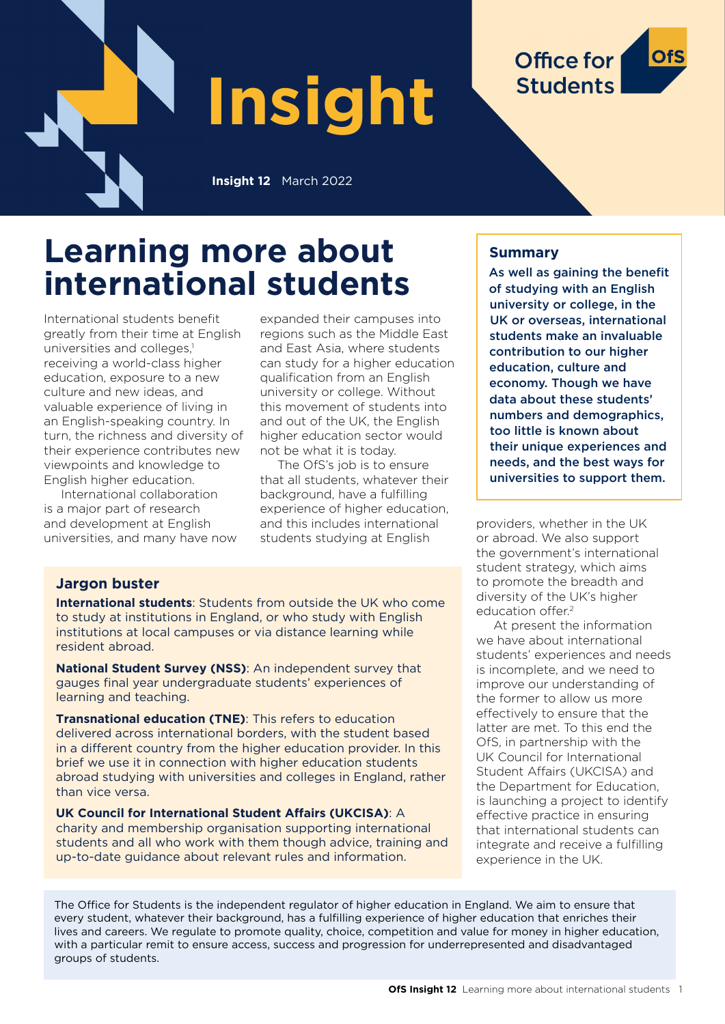

# **Learning more about international students**

International students benefit greatly from their time at English universities and colleges.<sup>1</sup> receiving a world-class higher education, exposure to a new culture and new ideas, and valuable experience of living in an English-speaking country. In turn, the richness and diversity of their experience contributes new viewpoints and knowledge to English higher education.

International collaboration is a major part of research and development at English universities, and many have now expanded their campuses into regions such as the Middle East and East Asia, where students can study for a higher education qualification from an English university or college. Without this movement of students into and out of the UK, the English higher education sector would not be what it is today.

The OfS's job is to ensure that all students, whatever their background, have a fulfilling experience of higher education, and this includes international students studying at English

# **Jargon buster**

**International students**: Students from outside the UK who come to study at institutions in England, or who study with English institutions at local campuses or via distance learning while resident abroad.

**National Student Survey (NSS)**: An independent survey that gauges final year undergraduate students' experiences of learning and teaching.

**Transnational education (TNE)**: This refers to education delivered across international borders, with the student based in a different country from the higher education provider. In this brief we use it in connection with higher education students abroad studying with universities and colleges in England, rather than vice versa.

**UK Council for International Student Affairs (UKCISA)**: A charity and membership organisation supporting international students and all who work with them though advice, training and up-to-date guidance about relevant rules and information.

# **Summary**

As well as gaining the benefit of studying with an English university or college, in the UK or overseas, international students make an invaluable contribution to our higher education, culture and economy. Though we have data about these students' numbers and demographics, too little is known about their unique experiences and needs, and the best ways for universities to support them.

Office for

**Students** 

providers, whether in the UK or abroad. We also support the government's international student strategy, which aims to promote the breadth and diversity of the UK's higher education offer.<sup>2</sup>

At present the information we have about international students' experiences and needs is incomplete, and we need to improve our understanding of the former to allow us more effectively to ensure that the latter are met. To this end the OfS, in partnership with the UK Council for International Student Affairs (UKCISA) and the Department for Education, is launching a project to identify effective practice in ensuring that international students can integrate and receive a fulfilling experience in the UK.

The Office for Students is the independent regulator of higher education in England. We aim to ensure that every student, whatever their background, has a fulfilling experience of higher education that enriches their lives and careers. We regulate to promote quality, choice, competition and value for money in higher education, with a particular remit to ensure access, success and progression for underrepresented and disadvantaged groups of students.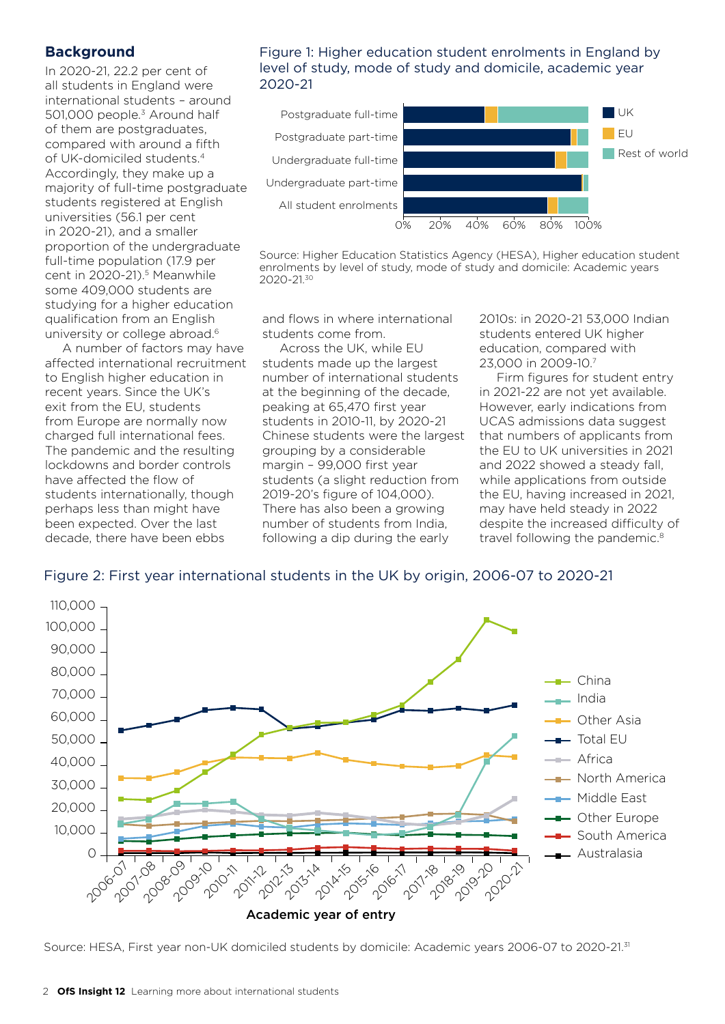#### **Background**

In 2020-21, 22.2 per cent of all students in England were international students – around 501,000 people.<sup>3</sup> Around half of them are postgraduates, compared with around a fifth of UK-domiciled students.4 Accordingly, they make up a majority of full-time postgraduate students registered at English universities (56.1 per cent in 2020-21), and a smaller proportion of the undergraduate full-time population (17.9 per cent in 2020-21).<sup>5</sup> Meanwhile some 409,000 students are studying for a higher education qualification from an English university or college abroad.<sup>6</sup>

A number of factors may have affected international recruitment to English higher education in recent years. Since the UK's exit from the EU, students from Europe are normally now charged full international fees. The pandemic and the resulting lockdowns and border controls have affected the flow of students internationally, though perhaps less than might have been expected. Over the last decade, there have been ebbs

#### Figure 1: Higher education student enrolments in England by level of study, mode of study and domicile, academic year 2020-21



Source: Higher Education Statistics Agency (HESA), Higher education student enrolments by level of study, mode of study and domicile: Academic years 2020-21.30

and flows in where international students come from.

Across the UK, while EU students made up the largest number of international students at the beginning of the decade, peaking at 65,470 first year students in 2010-11, by 2020-21 Chinese students were the largest grouping by a considerable margin – 99,000 first year students (a slight reduction from 2019-20's figure of 104,000). There has also been a growing number of students from India, following a dip during the early

2010s: in 2020-21 53,000 Indian students entered UK higher education, compared with 23,000 in 2009-10.7

Firm figures for student entry in 2021-22 are not yet available. However, early indications from UCAS admissions data suggest that numbers of applicants from the EU to UK universities in 2021 and 2022 showed a steady fall, while applications from outside the EU, having increased in 2021, may have held steady in 2022 despite the increased difficulty of travel following the pandemic.<sup>8</sup>

# Figure 2: First year international students in the UK by origin, 2006-07 to 2020-21



Source: HESA, First year non-UK domiciled students by domicile: Academic years 2006-07 to 2020-21.31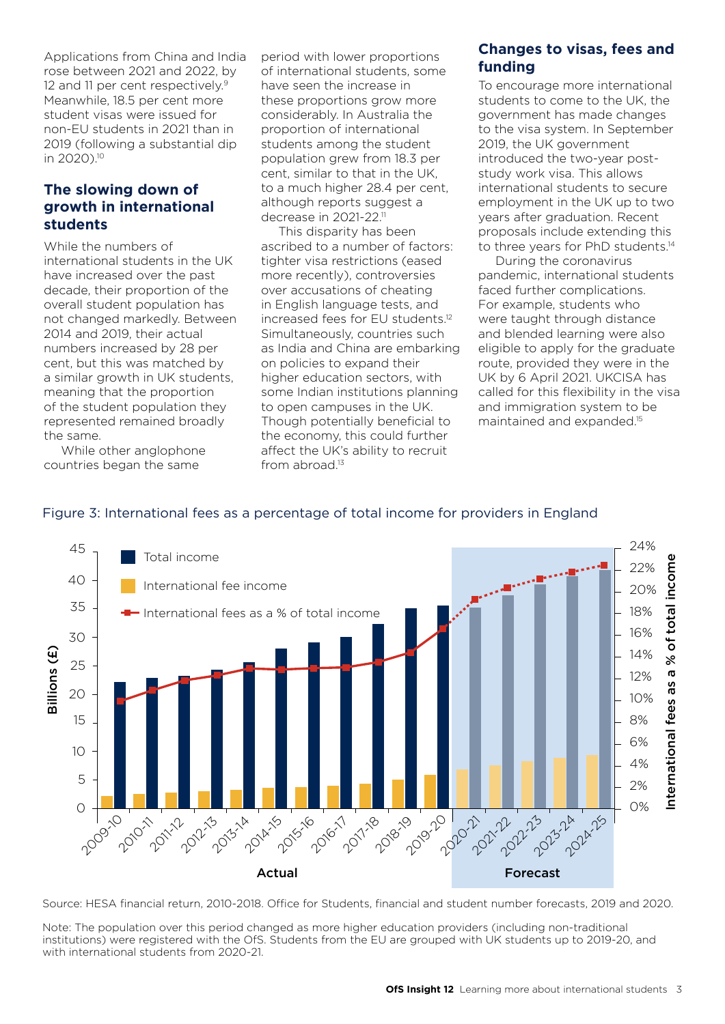Applications from China and India rose between 2021 and 2022, by 12 and 11 per cent respectively.<sup>9</sup> Meanwhile, 18.5 per cent more student visas were issued for non-EU students in 2021 than in 2019 (following a substantial dip in 2020).10

# **The slowing down of growth in international students**

While the numbers of international students in the UK have increased over the past decade, their proportion of the overall student population has not changed markedly. Between 2014 and 2019, their actual numbers increased by 28 per cent, but this was matched by a similar growth in UK students, meaning that the proportion of the student population they represented remained broadly the same.

While other anglophone countries began the same

period with lower proportions of international students, some have seen the increase in these proportions grow more considerably. In Australia the proportion of international students among the student population grew from 18.3 per cent, similar to that in the UK, to a much higher 28.4 per cent, although reports suggest a decrease in 2021-22.<sup>11</sup>

This disparity has been ascribed to a number of factors: tighter visa restrictions (eased more recently), controversies over accusations of cheating in English language tests, and increased fees for EU students.12 Simultaneously, countries such as India and China are embarking on policies to expand their higher education sectors, with some Indian institutions planning to open campuses in the UK. Though potentially beneficial to the economy, this could further affect the UK's ability to recruit from abroad.<sup>13</sup>

# **Changes to visas, fees and funding**

To encourage more international students to come to the UK, the government has made changes to the visa system. In September 2019, the UK government introduced the two-year poststudy work visa. This allows international students to secure employment in the UK up to two years after graduation. Recent proposals include extending this to three years for PhD students.<sup>14</sup>

During the coronavirus pandemic, international students faced further complications. For example, students who were taught through distance and blended learning were also eligible to apply for the graduate route, provided they were in the UK by 6 April 2021. UKCISA has called for this flexibility in the visa and immigration system to be maintained and expanded.15



# Figure 3: International fees as a percentage of total income for providers in England

Source: HESA financial return, 2010-2018. Office for Students, financial and student number forecasts, 2019 and 2020.

Note: The population over this period changed as more higher education providers (including non-traditional institutions) were registered with the OfS. Students from the EU are grouped with UK students up to 2019-20, and with international students from 2020-21.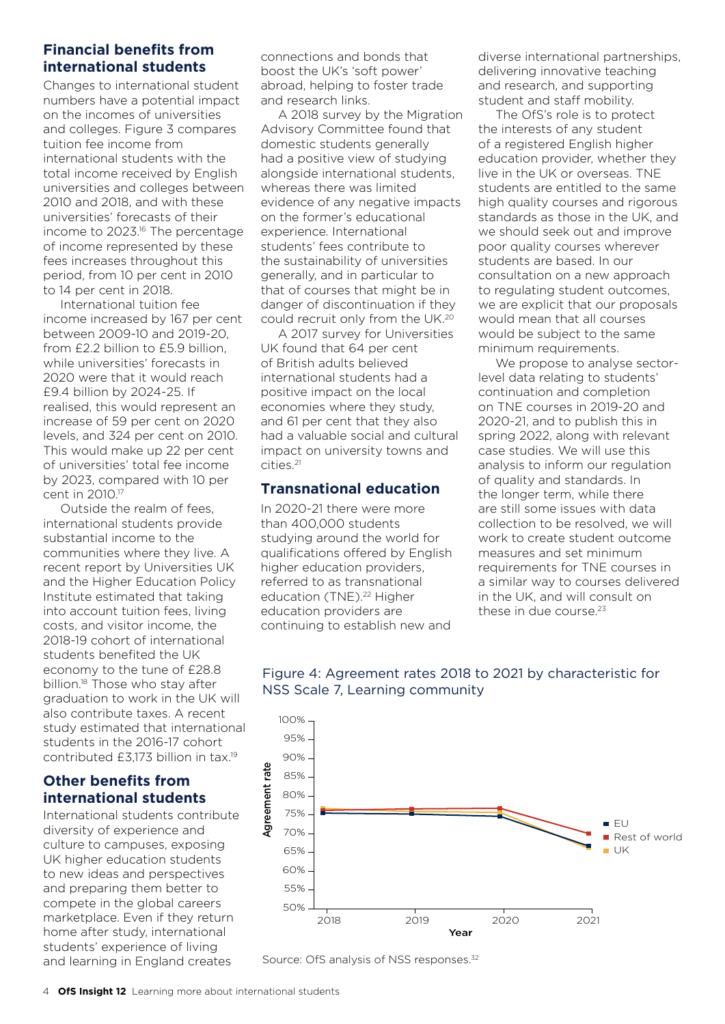# **Financial benefits from international students**

Changes to international student numbers have a potential impact on the incomes of universities and colleges. Figure 3 compares tuition fee income from international students with the total income received by English universities and colleges between 2010 and 2018, and with these universities' forecasts of their income to 2023.<sup>16</sup> The percentage of income represented by these fees increases throughout this period, from 10 per cent in 2010 to 14 per cent in 2018.

International tuition fee income increased by 167 per cent between 2009-10 and 2019-20, from £2.2 billion to £5.9 billion, while universities' forecasts in 2020 were that it would reach £9.4 billion by 2024-25. If realised, this would represent an increase of 59 per cent on 2020 levels, and 324 per cent on 2010. This would make up 22 per cent of universities' total fee income by 2023, compared with 10 per cent in 2010.17

Outside the realm of fees, international students provide substantial income to the communities where they live. A recent report by Universities UK and the Higher Education Policy Institute estimated that taking into account tuition fees, living costs, and visitor income, the 2018-19 cohort of international students benefited the UK economy to the tune of £28.8 billion.<sup>18</sup> Those who stay after graduation to work in the UK will also contribute taxes. A recent study estimated that international students in the 2016-17 cohort contributed £3,173 billion in tax.19

# **Other benefits from international students**

International students contribute diversity of experience and culture to campuses, exposing UK higher education students to new ideas and perspectives and preparing them better to compete in the global careers marketplace. Even if they return home after study, international students' experience of living and learning in England creates

connections and bonds that boost the UK's 'soft power' abroad, helping to foster trade and research links.

A 2018 survey by the Migration Advisory Committee found that domestic students generally had a positive view of studying alongside international students, whereas there was limited evidence of any negative impacts on the former's educational experience. International students' fees contribute to the sustainability of universities generally, and in particular to that of courses that might be in danger of discontinuation if they could recruit only from the UK.<sup>20</sup>

A 2017 survey for Universities UK found that 64 per cent of British adults believed international students had a positive impact on the local economies where they study, and 61 per cent that they also had a valuable social and cultural impact on university towns and cities.21

# **Transnational education**

In 2020-21 there were more than 400,000 students studying around the world for qualifications offered by English higher education providers, referred to as transnational education (TNE).<sup>22</sup> Higher education providers are continuing to establish new and

diverse international partnerships, delivering innovative teaching and research, and supporting student and staff mobility.

The OfS's role is to protect the interests of any student of a registered English higher education provider, whether they live in the UK or overseas. TNE students are entitled to the same high quality courses and rigorous standards as those in the UK, and we should seek out and improve poor quality courses wherever students are based. In our consultation on a new approach to regulating student outcomes, we are explicit that our proposals would mean that all courses would be subject to the same minimum requirements.

We propose to analyse sectorlevel data relating to students' continuation and completion on TNE courses in 2019-20 and 2020-21, and to publish this in spring 2022, along with relevant case studies. We will use this analysis to inform our regulation of quality and standards. In the longer term, while there are still some issues with data collection to be resolved, we will work to create student outcome measures and set minimum requirements for TNE courses in a similar way to courses delivered in the UK, and will consult on these in due course.<sup>23</sup>



Source: OfS analysis of NSS responses.<sup>32</sup>

# Figure 4: Agreement rates 2018 to 2021 by characteristic for NSS Scale 7, Learning community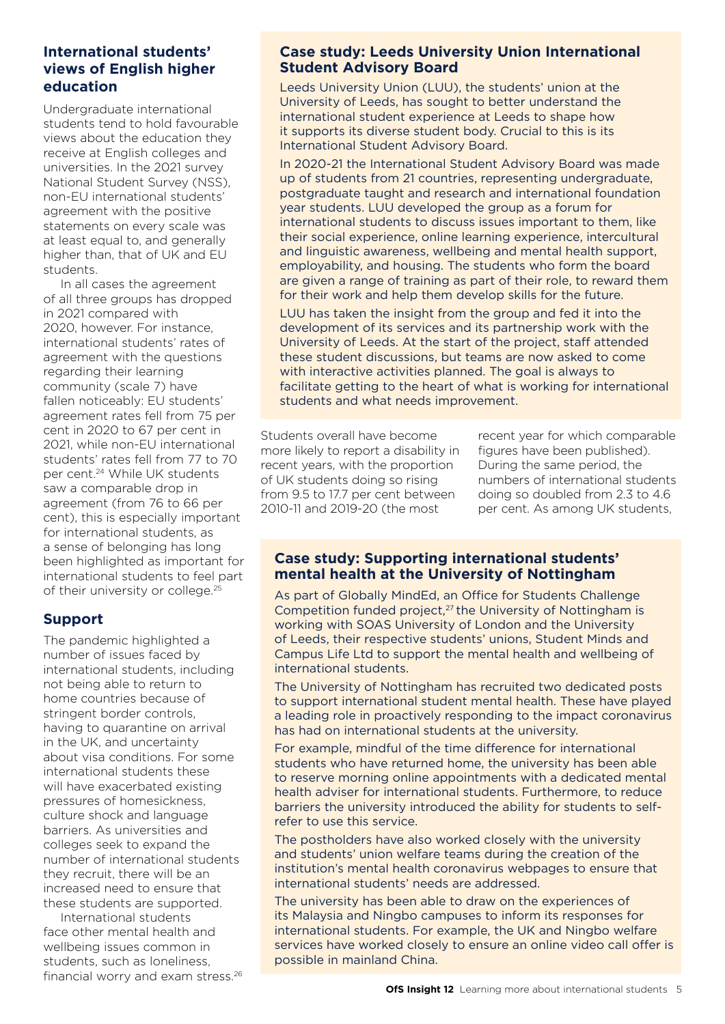# **International students' views of English higher education**

Undergraduate international students tend to hold favourable views about the education they receive at English colleges and universities. In the 2021 survey National Student Survey (NSS), non-EU international students' agreement with the positive statements on every scale was at least equal to, and generally higher than, that of UK and EU students.

In all cases the agreement of all three groups has dropped in 2021 compared with 2020, however. For instance, international students' rates of agreement with the questions regarding their learning community (scale 7) have fallen noticeably: EU students' agreement rates fell from 75 per cent in 2020 to 67 per cent in 2021, while non-EU international students' rates fell from 77 to 70 per cent.24 While UK students saw a comparable drop in agreement (from 76 to 66 per cent), this is especially important for international students, as a sense of belonging has long been highlighted as important for international students to feel part of their university or college.<sup>25</sup>

# **Support**

The pandemic highlighted a number of issues faced by international students, including not being able to return to home countries because of stringent border controls, having to quarantine on arrival in the UK, and uncertainty about visa conditions. For some international students these will have exacerbated existing pressures of homesickness, culture shock and language barriers. As universities and colleges seek to expand the number of international students they recruit, there will be an increased need to ensure that these students are supported.

International students face other mental health and wellbeing issues common in students, such as loneliness, financial worry and exam stress.26

#### **Case study: Leeds University Union International Student Advisory Board**

Leeds University Union (LUU), the students' union at the University of Leeds, has sought to better understand the international student experience at Leeds to shape how it supports its diverse student body. Crucial to this is its International Student Advisory Board.

In 2020-21 the International Student Advisory Board was made up of students from 21 countries, representing undergraduate, postgraduate taught and research and international foundation year students. LUU developed the group as a forum for international students to discuss issues important to them, like their social experience, online learning experience, intercultural and linguistic awareness, wellbeing and mental health support, employability, and housing. The students who form the board are given a range of training as part of their role, to reward them for their work and help them develop skills for the future.

LUU has taken the insight from the group and fed it into the development of its services and its partnership work with the University of Leeds. At the start of the project, staff attended these student discussions, but teams are now asked to come with interactive activities planned. The goal is always to facilitate getting to the heart of what is working for international students and what needs improvement.

Students overall have become more likely to report a disability in recent years, with the proportion of UK students doing so rising from 9.5 to 17.7 per cent between 2010-11 and 2019-20 (the most

recent year for which comparable figures have been published). During the same period, the numbers of international students doing so doubled from 2.3 to 4.6 per cent. As among UK students,

# **Case study: Supporting international students' mental health at the University of Nottingham**

As part of Globally MindEd, an Office for Students Challenge Competition funded project,<sup>27</sup> the University of Nottingham is working with SOAS University of London and the University of Leeds, their respective students' unions, Student Minds and Campus Life Ltd to support the mental health and wellbeing of international students.

The University of Nottingham has recruited two dedicated posts to support international student mental health. These have played a leading role in proactively responding to the impact coronavirus has had on international students at the university.

For example, mindful of the time difference for international students who have returned home, the university has been able to reserve morning online appointments with a dedicated mental health adviser for international students. Furthermore, to reduce barriers the university introduced the ability for students to selfrefer to use this service.

The postholders have also worked closely with the university and students' union welfare teams during the creation of the institution's mental health coronavirus webpages to ensure that international students' needs are addressed.

The university has been able to draw on the experiences of its Malaysia and Ningbo campuses to inform its responses for international students. For example, the UK and Ningbo welfare services have worked closely to ensure an online video call offer is possible in mainland China.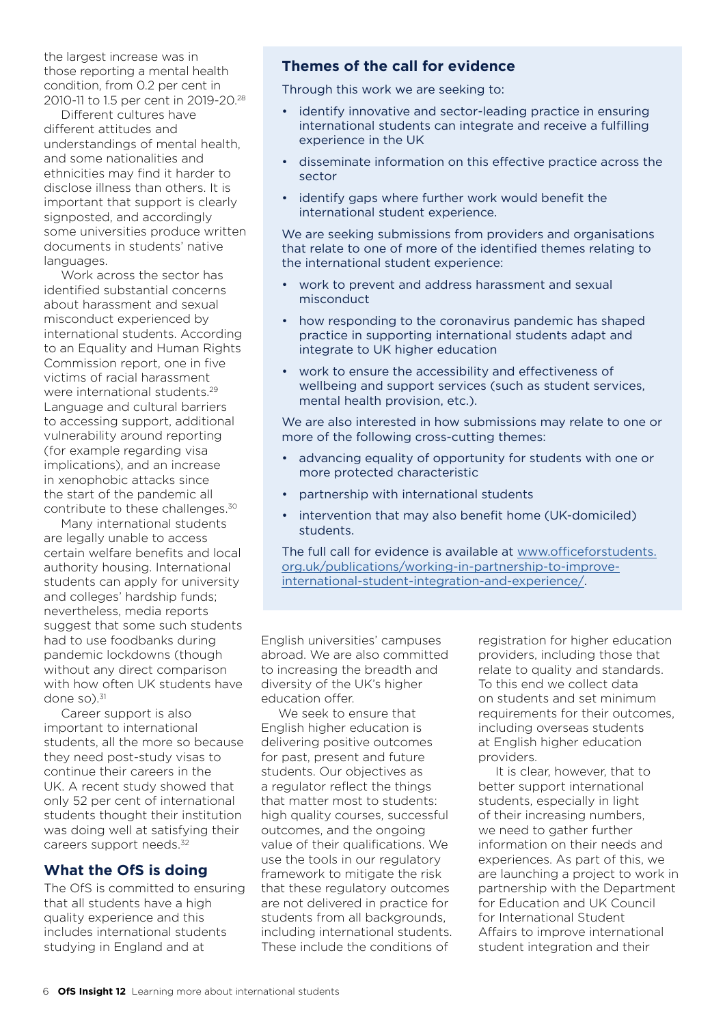the largest increase was in those reporting a mental health condition, from 0.2 per cent in 2010-11 to 1.5 per cent in 2019-20.28

Different cultures have different attitudes and understandings of mental health, and some nationalities and ethnicities may find it harder to disclose illness than others. It is important that support is clearly signposted, and accordingly some universities produce written documents in students' native languages.

Work across the sector has identified substantial concerns about harassment and sexual misconduct experienced by international students. According to an Equality and Human Rights Commission report, one in five victims of racial harassment were international students.29 Language and cultural barriers to accessing support, additional vulnerability around reporting (for example regarding visa implications), and an increase in xenophobic attacks since the start of the pandemic all contribute to these challenges.30

Many international students are legally unable to access certain welfare benefits and local authority housing. International students can apply for university and colleges' hardship funds; nevertheless, media reports suggest that some such students had to use foodbanks during pandemic lockdowns (though without any direct comparison with how often UK students have done so).<sup>31</sup>

Career support is also important to international students, all the more so because they need post-study visas to continue their careers in the UK. A recent study showed that only 52 per cent of international students thought their institution was doing well at satisfying their careers support needs.<sup>32</sup>

# **What the OfS is doing**

The OfS is committed to ensuring that all students have a high quality experience and this includes international students studying in England and at

# **Themes of the call for evidence**

Through this work we are seeking to:

- identify innovative and sector-leading practice in ensuring international students can integrate and receive a fulfilling experience in the UK
- disseminate information on this effective practice across the sector
- identify gaps where further work would benefit the international student experience.

We are seeking submissions from providers and organisations that relate to one of more of the identified themes relating to the international student experience:

- work to prevent and address harassment and sexual misconduct
- how responding to the coronavirus pandemic has shaped practice in supporting international students adapt and integrate to UK higher education
- work to ensure the accessibility and effectiveness of wellbeing and support services (such as student services, mental health provision, etc.).

We are also interested in how submissions may relate to one or more of the following cross-cutting themes:

- advancing equality of opportunity for students with one or more protected characteristic
- partnership with international students
- intervention that may also benefit home (UK-domiciled) students.

The full call for evidence is available at [www.officeforstudents.](https://www.officeforstudents.org.uk/publications/working-in-partnership-to-improve-international-student-integration-and-experience/) [org.uk/publications/working-in-partnership-to-improve](https://www.officeforstudents.org.uk/publications/working-in-partnership-to-improve-international-student-integration-and-experience/)[international-student-integration-and-experience/.](https://www.officeforstudents.org.uk/publications/working-in-partnership-to-improve-international-student-integration-and-experience/)

English universities' campuses abroad. We are also committed to increasing the breadth and diversity of the UK's higher education offer.

We seek to ensure that English higher education is delivering positive outcomes for past, present and future students. Our objectives as a regulator reflect the things that matter most to students: high quality courses, successful outcomes, and the ongoing value of their qualifications. We use the tools in our regulatory framework to mitigate the risk that these regulatory outcomes are not delivered in practice for students from all backgrounds, including international students. These include the conditions of

registration for higher education providers, including those that relate to quality and standards. To this end we collect data on students and set minimum requirements for their outcomes, including overseas students at English higher education providers.

It is clear, however, that to better support international students, especially in light of their increasing numbers, we need to gather further information on their needs and experiences. As part of this, we are launching a project to work in partnership with the Department for Education and UK Council for International Student Affairs to improve international student integration and their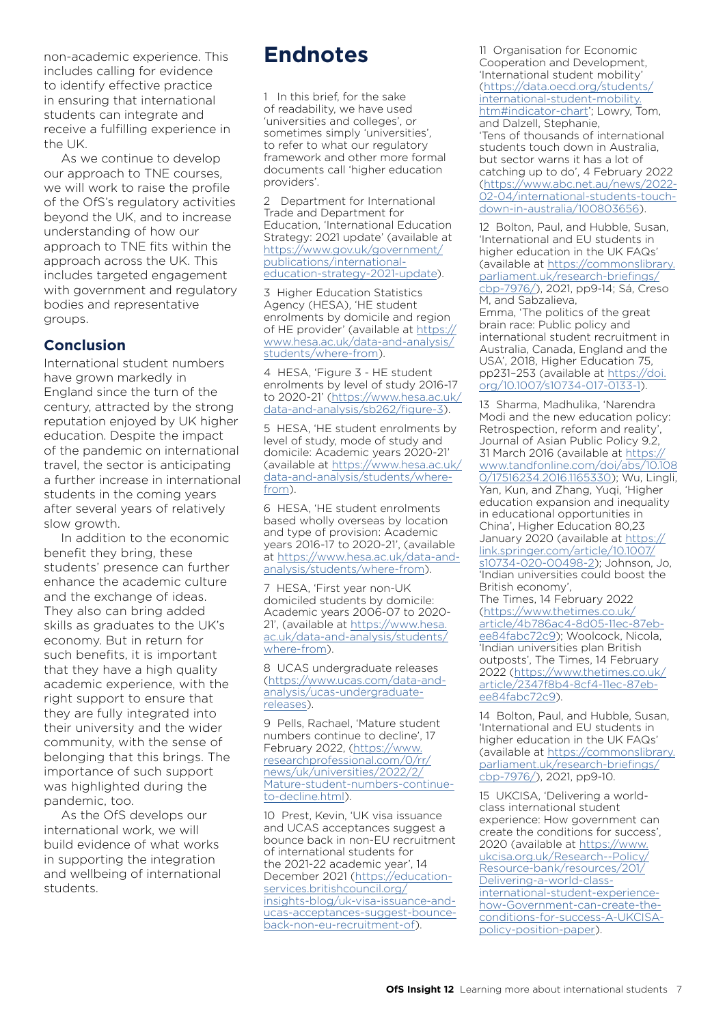non-academic experience. This includes calling for evidence to identify effective practice in ensuring that international students can integrate and receive a fulfilling experience in the UK.

As we continue to develop our approach to TNE courses, we will work to raise the profile of the OfS's regulatory activities beyond the UK, and to increase understanding of how our approach to TNE fits within the approach across the UK. This includes targeted engagement with government and regulatory bodies and representative groups.

# **Conclusion**

International student numbers have grown markedly in England since the turn of the century, attracted by the strong reputation enjoyed by UK higher education. Despite the impact of the pandemic on international travel, the sector is anticipating a further increase in international students in the coming years after several years of relatively slow growth.

In addition to the economic benefit they bring, these students' presence can further enhance the academic culture and the exchange of ideas. They also can bring added skills as graduates to the UK's economy. But in return for such benefits, it is important that they have a high quality academic experience, with the right support to ensure that they are fully integrated into their university and the wider community, with the sense of belonging that this brings. The importance of such support was highlighted during the pandemic, too.

As the OfS develops our international work, we will build evidence of what works in supporting the integration and wellbeing of international students.

# **Endnotes**

1 In this brief, for the sake of readability, we have used 'universities and colleges', or sometimes simply 'universities', to refer to what our regulatory framework and other more formal documents call 'higher education providers'.

2 Department for International Trade and Department for Education, 'International Education Strategy: 2021 update' (available at [https://www.gov.uk/government/](https://www.gov.uk/government/publications/international-education-strategy-2021-update) [publications/international](https://www.gov.uk/government/publications/international-education-strategy-2021-update)[education-strategy-2021-update\)](https://www.gov.uk/government/publications/international-education-strategy-2021-update).

3 Higher Education Statistics Agency (HESA), 'HE student enrolments by domicile and region of HE provider' (available at [https://](https://www.hesa.ac.uk/data-and-analysis/students/where-from) [www.hesa.ac.uk/data-and-analysis/](https://www.hesa.ac.uk/data-and-analysis/students/where-from) [students/where-from\)](https://www.hesa.ac.uk/data-and-analysis/students/where-from).

4 HESA, 'Figure 3 - HE student enrolments by level of study 2016-17 to 2020-21' [\(https://www.hesa.ac.uk/](https://www.hesa.ac.uk/data-and-analysis/sb262/figure-3) [data-and-analysis/sb262/figure-3](https://www.hesa.ac.uk/data-and-analysis/sb262/figure-3)).

5 HESA, 'HE student enrolments by level of study, mode of study and domicile: Academic years 2020-21' (available at [https://www.hesa.ac.uk/](https://www.hesa.ac.uk/data-and-analysis/students/where-from) [data-and-analysis/students/where](https://www.hesa.ac.uk/data-and-analysis/students/where-from)[from\)](https://www.hesa.ac.uk/data-and-analysis/students/where-from).

6 HESA, 'HE student enrolments based wholly overseas by location and type of provision: Academic years 2016-17 to 2020-21', (available at [https://www.hesa.ac.uk/data-and](https://www.hesa.ac.uk/data-and-analysis/students/where-from)[analysis/students/where-from\)](https://www.hesa.ac.uk/data-and-analysis/students/where-from).

7 HESA, 'First year non-UK domiciled students by domicile: Academic years 2006-07 to 2020- 21', (available at [https://www.hesa.](https://www.hesa.ac.uk/data-and-analysis/students/where-from) [ac.uk/data-and-analysis/students/](https://www.hesa.ac.uk/data-and-analysis/students/where-from) [where-from](https://www.hesa.ac.uk/data-and-analysis/students/where-from)).

8 UCAS undergraduate releases [\(https://www.ucas.com/data-and](https://www.ucas.com/data-and-analysis/ucas-undergraduate-releases)[analysis/ucas-undergraduate](https://www.ucas.com/data-and-analysis/ucas-undergraduate-releases)[releases\)](https://www.ucas.com/data-and-analysis/ucas-undergraduate-releases).

9 Pells, Rachael, 'Mature student numbers continue to decline', 17 February 2022, [\(https://www.](https://www.researchprofessional.com/0/rr/news/uk/universities/2022/2/Mature-student-numbers-continue-to-decline.html) [researchprofessional.com/0/rr/](https://www.researchprofessional.com/0/rr/news/uk/universities/2022/2/Mature-student-numbers-continue-to-decline.html) [news/uk/universities/2022/2/](https://www.researchprofessional.com/0/rr/news/uk/universities/2022/2/Mature-student-numbers-continue-to-decline.html) [Mature-student-numbers-continue](https://www.researchprofessional.com/0/rr/news/uk/universities/2022/2/Mature-student-numbers-continue-to-decline.html)[to-decline.html\)](https://www.researchprofessional.com/0/rr/news/uk/universities/2022/2/Mature-student-numbers-continue-to-decline.html).

10 Prest, Kevin, 'UK visa issuance and UCAS acceptances suggest a bounce back in non-EU recruitment of international students for the 2021-22 academic year', 14 December 2021 ([https://education](https://education-services.britishcouncil.org/insights-blog/uk-visa-issuance-and-ucas-acceptances-suggest-bounce-back-non-eu-recruitment-of)[services.britishcouncil.org/](https://education-services.britishcouncil.org/insights-blog/uk-visa-issuance-and-ucas-acceptances-suggest-bounce-back-non-eu-recruitment-of) [insights-blog/uk-visa-issuance-and](https://education-services.britishcouncil.org/insights-blog/uk-visa-issuance-and-ucas-acceptances-suggest-bounce-back-non-eu-recruitment-of)[ucas-acceptances-suggest-bounce](https://education-services.britishcouncil.org/insights-blog/uk-visa-issuance-and-ucas-acceptances-suggest-bounce-back-non-eu-recruitment-of)[back-non-eu-recruitment-of\)](https://education-services.britishcouncil.org/insights-blog/uk-visa-issuance-and-ucas-acceptances-suggest-bounce-back-non-eu-recruitment-of).

11 Organisation for Economic Cooperation and Development, 'International student mobility' [\(https://data.oecd.org/students/](https://data.oecd.org/students/international-student-mobility.htm#indicator-chart) [international-student-mobility.](https://data.oecd.org/students/international-student-mobility.htm#indicator-chart) [htm#indicator-chart](https://data.oecd.org/students/international-student-mobility.htm#indicator-chart)'; Lowry, Tom, and Dalzell, Stephanie, 'Tens of thousands of international students touch down in Australia, but sector warns it has a lot of catching up to do', 4 February 2022 [\(https://www.abc.net.au/news/2022-](https://www.abc.net.au/news/2022-02-04/international-students-touch-down-in-australia/100803656) [02-04/international-students-touch](https://www.abc.net.au/news/2022-02-04/international-students-touch-down-in-australia/100803656)[down-in-australia/100803656](https://www.abc.net.au/news/2022-02-04/international-students-touch-down-in-australia/100803656)).

12 Bolton, Paul, and Hubble, Susan, 'International and EU students in higher education in the UK FAQs' (available at [https://commonslibrary.](https://commonslibrary.parliament.uk/research-briefings/cbp-7976/) [parliament.uk/research-briefings/](https://commonslibrary.parliament.uk/research-briefings/cbp-7976/) [cbp-7976/\)](https://commonslibrary.parliament.uk/research-briefings/cbp-7976/), 2021, pp9-14; Sá, Creso M, and Sabzalieva, Emma, 'The politics of the great brain race: Public policy and international student recruitment in Australia, Canada, England and the USA', 2018, Higher Education 75, pp231–253 (available at [https://doi.](https://doi.org/10.1007/s10734-017-0133-1) [org/10.1007/s10734-017-0133-1](https://doi.org/10.1007/s10734-017-0133-1)).

13 Sharma, Madhulika, 'Narendra Modi and the new education policy: Retrospection, reform and reality', Journal of Asian Public Policy 9.2, 31 March 2016 (available at [https://](https://www.tandfonline.com/doi/abs/10.1080/17516234.2016.1165330) [www.tandfonline.com/doi/abs/10.108](https://www.tandfonline.com/doi/abs/10.1080/17516234.2016.1165330) [0/17516234.2016.1165330](https://www.tandfonline.com/doi/abs/10.1080/17516234.2016.1165330)); Wu, Lingli, Yan, Kun, and Zhang, Yuqi, 'Higher education expansion and inequality in educational opportunities in China', Higher Education 80,23 January 2020 (available at [https://](https://link.springer.com/article/10.1007/s10734-020-00498-2) [link.springer.com/article/10.1007/](https://link.springer.com/article/10.1007/s10734-020-00498-2) [s10734-020-00498-2](https://link.springer.com/article/10.1007/s10734-020-00498-2)); Johnson, Jo, 'Indian universities could boost the British economy', The Times, 14 February 2022 [\(https://www.thetimes.co.uk/](https://www.thetimes.co.uk/article/4b786ac4-8d05-11ec-87eb-ee84fabc72c9) [article/4b786ac4-8d05-11ec-87eb](https://www.thetimes.co.uk/article/4b786ac4-8d05-11ec-87eb-ee84fabc72c9)[ee84fabc72c9](https://www.thetimes.co.uk/article/4b786ac4-8d05-11ec-87eb-ee84fabc72c9)); Woolcock, Nicola, 'Indian universities plan British outposts', The Times, 14 February 2022 [\(https://www.thetimes.co.uk/](https://www.thetimes.co.uk/article/2347f8b4-8cf4-11ec-87eb-ee84fabc72c9)

[article/2347f8b4-8cf4-11ec-87eb](https://www.thetimes.co.uk/article/2347f8b4-8cf4-11ec-87eb-ee84fabc72c9)[ee84fabc72c9](https://www.thetimes.co.uk/article/2347f8b4-8cf4-11ec-87eb-ee84fabc72c9)). 14 Bolton, Paul, and Hubble, Susan, 'International and EU students in higher education in the UK FAQs' (available at [https://commonslibrary.](https://commonslibrary.parliament.uk/research-briefings/cbp-7976/) [parliament.uk/research-briefings/](https://commonslibrary.parliament.uk/research-briefings/cbp-7976/)

[cbp-7976/\)](https://commonslibrary.parliament.uk/research-briefings/cbp-7976/), 2021, pp9-10.

15 UKCISA, 'Delivering a worldclass international student experience: How government can create the conditions for success', 2020 (available at [https://www.](https://www.ukcisa.org.uk/Research--Policy/Resource-bank/resources/201/Delivering-a-world-class-international-student-experience-how-Government-can-create-the-conditions-for-success-A-UKCISA-policy-position-paper) [ukcisa.org.uk/Research--Policy/](https://www.ukcisa.org.uk/Research--Policy/Resource-bank/resources/201/Delivering-a-world-class-international-student-experience-how-Government-can-create-the-conditions-for-success-A-UKCISA-policy-position-paper) [Resource-bank/resources/201/](https://www.ukcisa.org.uk/Research--Policy/Resource-bank/resources/201/Delivering-a-world-class-international-student-experience-how-Government-can-create-the-conditions-for-success-A-UKCISA-policy-position-paper) [Delivering-a-world-class](https://www.ukcisa.org.uk/Research--Policy/Resource-bank/resources/201/Delivering-a-world-class-international-student-experience-how-Government-can-create-the-conditions-for-success-A-UKCISA-policy-position-paper)[international-student-experience](https://www.ukcisa.org.uk/Research--Policy/Resource-bank/resources/201/Delivering-a-world-class-international-student-experience-how-Government-can-create-the-conditions-for-success-A-UKCISA-policy-position-paper)[how-Government-can-create-the](https://www.ukcisa.org.uk/Research--Policy/Resource-bank/resources/201/Delivering-a-world-class-international-student-experience-how-Government-can-create-the-conditions-for-success-A-UKCISA-policy-position-paper)[conditions-for-success-A-UKCISA](https://www.ukcisa.org.uk/Research--Policy/Resource-bank/resources/201/Delivering-a-world-class-international-student-experience-how-Government-can-create-the-conditions-for-success-A-UKCISA-policy-position-paper)[policy-position-paper\)](https://www.ukcisa.org.uk/Research--Policy/Resource-bank/resources/201/Delivering-a-world-class-international-student-experience-how-Government-can-create-the-conditions-for-success-A-UKCISA-policy-position-paper).